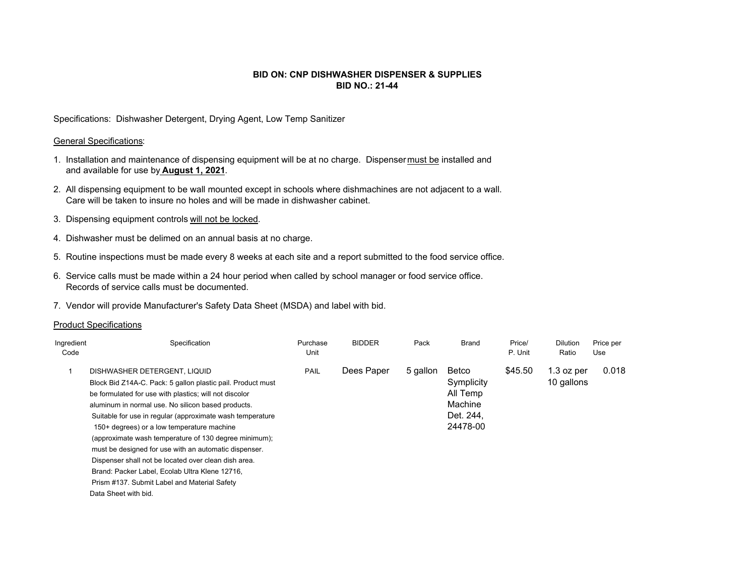## **BID ON: CNP DISHWASHER DISPENSER & SUPPLIESBID NO.: 21-44**

Specifications: Dishwasher Detergent, Drying Agent, Low Temp Sanitizer

## General Specifications:

- 1. Installation and maintenance of dispensing equipment will be at no charge. Dispenser must be installed and and available for use by **August 1, 2021**.
- 2. All dispensing equipment to be wall mounted except in schools where dishmachines are not adjacent to a wall. Care will be taken to insure no holes and will be made in dishwasher cabinet.
- 3. Dispensing equipment controls will not be locked.
- 4. Dishwasher must be delimed on an annual basis at no charge.
- 5. Routine inspections must be made every 8 weeks at each site and a report submitted to the food service office.
- 6. Service calls must be made within a 24 hour period when called by school manager or food service office. Records of service calls must be documented.
- 7. Vendor will provide Manufacturer's Safety Data Sheet (MSDA) and label with bid.

## Product Specifications

| Ingredient<br>Code | Specification                                                                                                                                                                                                                                                                                                                                                                                                                                                                                                                                                                                                              | Purchase<br>Unit | <b>BIDDER</b> | Pack     | <b>Brand</b>                                                        | Price/<br>P. Unit | <b>Dilution</b><br>Ratio   | Price per<br>Use |
|--------------------|----------------------------------------------------------------------------------------------------------------------------------------------------------------------------------------------------------------------------------------------------------------------------------------------------------------------------------------------------------------------------------------------------------------------------------------------------------------------------------------------------------------------------------------------------------------------------------------------------------------------------|------------------|---------------|----------|---------------------------------------------------------------------|-------------------|----------------------------|------------------|
|                    | DISHWASHER DETERGENT, LIQUID<br>Block Bid Z14A-C. Pack: 5 gallon plastic pail. Product must<br>be formulated for use with plastics; will not discolor<br>aluminum in normal use. No silicon based products.<br>Suitable for use in regular (approximate wash temperature<br>150+ degrees) or a low temperature machine<br>(approximate wash temperature of 130 degree minimum);<br>must be designed for use with an automatic dispenser.<br>Dispenser shall not be located over clean dish area.<br>Brand: Packer Label, Ecolab Ultra Klene 12716,<br>Prism #137. Submit Label and Material Safety<br>Data Sheet with bid. | PAIL             | Dees Paper    | 5 gallon | Betco<br>Symplicity<br>All Temp<br>Machine<br>Det. 244.<br>24478-00 | \$45.50           | $1.3$ oz per<br>10 gallons | 0.018            |